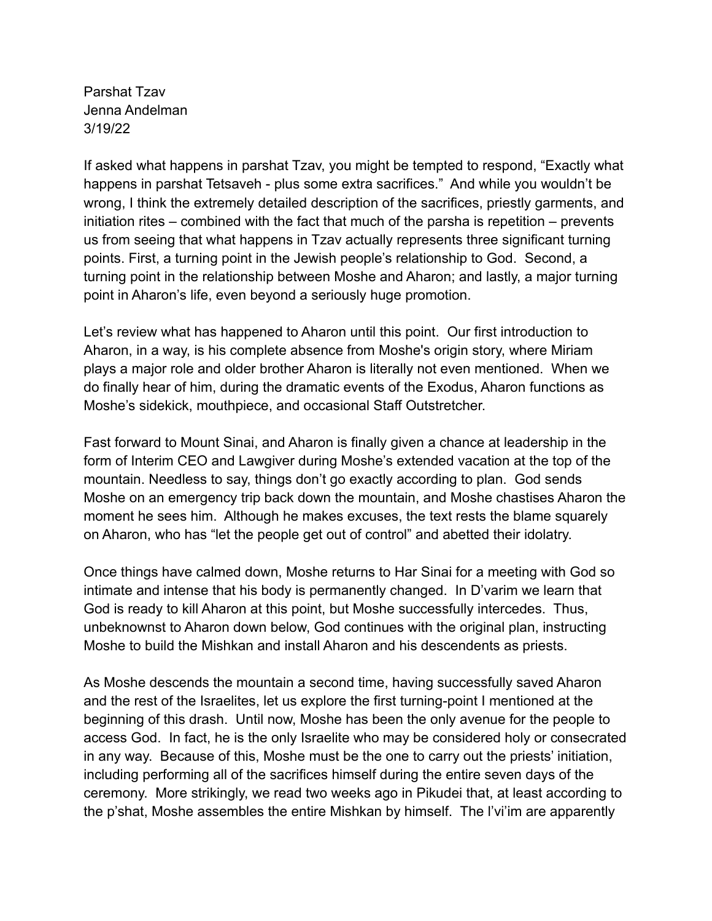Parshat Tzav Jenna Andelman 3/19/22

If asked what happens in parshat Tzav, you might be tempted to respond, "Exactly what happens in parshat Tetsaveh - plus some extra sacrifices." And while you wouldn't be wrong, I think the extremely detailed description of the sacrifices, priestly garments, and initiation rites – combined with the fact that much of the parsha is repetition – prevents us from seeing that what happens in Tzav actually represents three significant turning points. First, a turning point in the Jewish people's relationship to God. Second, a turning point in the relationship between Moshe and Aharon; and lastly, a major turning point in Aharon's life, even beyond a seriously huge promotion.

Let's review what has happened to Aharon until this point. Our first introduction to Aharon, in a way, is his complete absence from Moshe's origin story, where Miriam plays a major role and older brother Aharon is literally not even mentioned. When we do finally hear of him, during the dramatic events of the Exodus, Aharon functions as Moshe's sidekick, mouthpiece, and occasional Staff Outstretcher.

Fast forward to Mount Sinai, and Aharon is finally given a chance at leadership in the form of Interim CEO and Lawgiver during Moshe's extended vacation at the top of the mountain. Needless to say, things don't go exactly according to plan. God sends Moshe on an emergency trip back down the mountain, and Moshe chastises Aharon the moment he sees him. Although he makes excuses, the text rests the blame squarely on Aharon, who has "let the people get out of control" and abetted their idolatry.

Once things have calmed down, Moshe returns to Har Sinai for a meeting with God so intimate and intense that his body is permanently changed. In D'varim we learn that God is ready to kill Aharon at this point, but Moshe successfully intercedes. Thus, unbeknownst to Aharon down below, God continues with the original plan, instructing Moshe to build the Mishkan and install Aharon and his descendents as priests.

As Moshe descends the mountain a second time, having successfully saved Aharon and the rest of the Israelites, let us explore the first turning-point I mentioned at the beginning of this drash. Until now, Moshe has been the only avenue for the people to access God. In fact, he is the only Israelite who may be considered holy or consecrated in any way. Because of this, Moshe must be the one to carry out the priests' initiation, including performing all of the sacrifices himself during the entire seven days of the ceremony. More strikingly, we read two weeks ago in Pikudei that, at least according to the p'shat, Moshe assembles the entire Mishkan by himself. The l'vi'im are apparently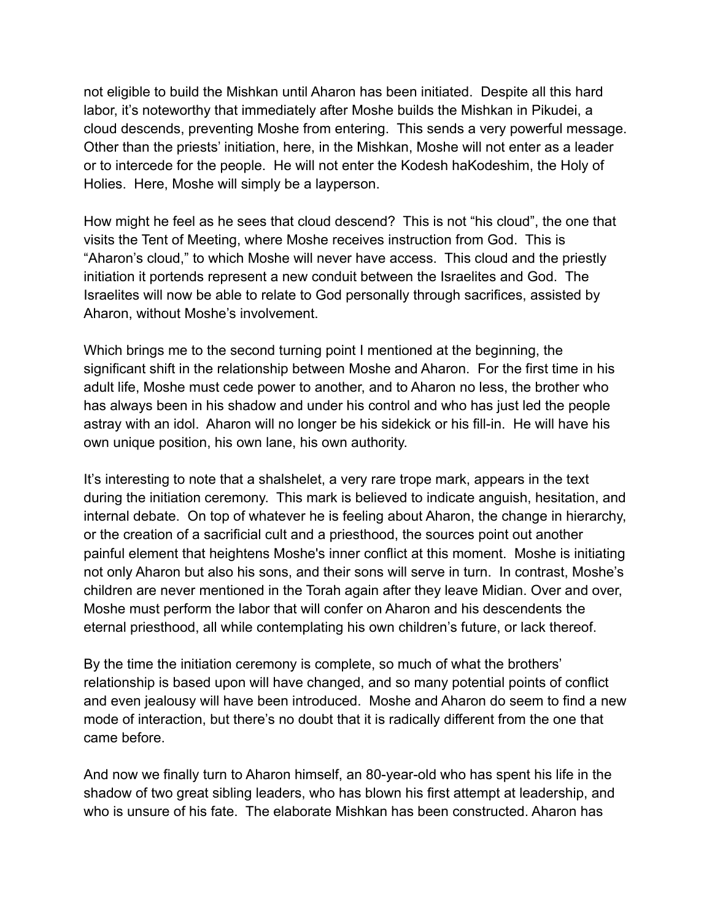not eligible to build the Mishkan until Aharon has been initiated. Despite all this hard labor, it's noteworthy that immediately after Moshe builds the Mishkan in Pikudei, a cloud descends, preventing Moshe from entering. This sends a very powerful message. Other than the priests' initiation, here, in the Mishkan, Moshe will not enter as a leader or to intercede for the people. He will not enter the Kodesh haKodeshim, the Holy of Holies. Here, Moshe will simply be a layperson.

How might he feel as he sees that cloud descend? This is not "his cloud", the one that visits the Tent of Meeting, where Moshe receives instruction from God. This is "Aharon's cloud," to which Moshe will never have access. This cloud and the priestly initiation it portends represent a new conduit between the Israelites and God. The Israelites will now be able to relate to God personally through sacrifices, assisted by Aharon, without Moshe's involvement.

Which brings me to the second turning point I mentioned at the beginning, the significant shift in the relationship between Moshe and Aharon. For the first time in his adult life, Moshe must cede power to another, and to Aharon no less, the brother who has always been in his shadow and under his control and who has just led the people astray with an idol. Aharon will no longer be his sidekick or his fill-in. He will have his own unique position, his own lane, his own authority.

It's interesting to note that a shalshelet, a very rare trope mark, appears in the text during the initiation ceremony. This mark is believed to indicate anguish, hesitation, and internal debate. On top of whatever he is feeling about Aharon, the change in hierarchy, or the creation of a sacrificial cult and a priesthood, the sources point out another painful element that heightens Moshe's inner conflict at this moment. Moshe is initiating not only Aharon but also his sons, and their sons will serve in turn. In contrast, Moshe's children are never mentioned in the Torah again after they leave Midian. Over and over, Moshe must perform the labor that will confer on Aharon and his descendents the eternal priesthood, all while contemplating his own children's future, or lack thereof.

By the time the initiation ceremony is complete, so much of what the brothers' relationship is based upon will have changed, and so many potential points of conflict and even jealousy will have been introduced. Moshe and Aharon do seem to find a new mode of interaction, but there's no doubt that it is radically different from the one that came before.

And now we finally turn to Aharon himself, an 80-year-old who has spent his life in the shadow of two great sibling leaders, who has blown his first attempt at leadership, and who is unsure of his fate. The elaborate Mishkan has been constructed. Aharon has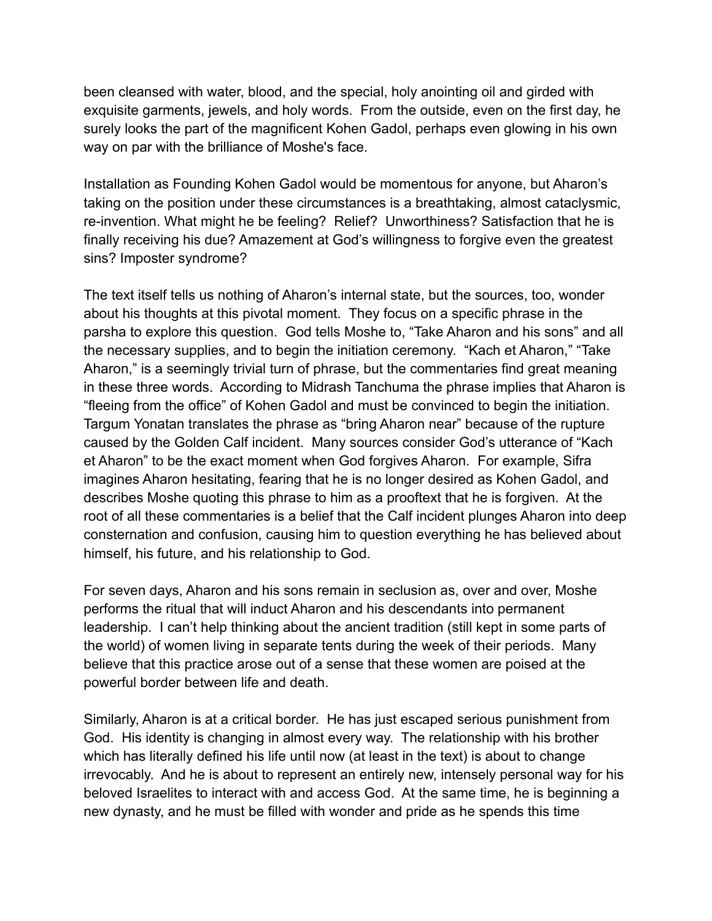been cleansed with water, blood, and the special, holy anointing oil and girded with exquisite garments, jewels, and holy words. From the outside, even on the first day, he surely looks the part of the magnificent Kohen Gadol, perhaps even glowing in his own way on par with the brilliance of Moshe's face.

Installation as Founding Kohen Gadol would be momentous for anyone, but Aharon's taking on the position under these circumstances is a breathtaking, almost cataclysmic, re-invention. What might he be feeling? Relief? Unworthiness? Satisfaction that he is finally receiving his due? Amazement at God's willingness to forgive even the greatest sins? Imposter syndrome?

The text itself tells us nothing of Aharon's internal state, but the sources, too, wonder about his thoughts at this pivotal moment. They focus on a specific phrase in the parsha to explore this question. God tells Moshe to, "Take Aharon and his sons" and all the necessary supplies, and to begin the initiation ceremony. "Kach et Aharon," "Take Aharon," is a seemingly trivial turn of phrase, but the commentaries find great meaning in these three words. According to Midrash Tanchuma the phrase implies that Aharon is "fleeing from the office" of Kohen Gadol and must be convinced to begin the initiation. Targum Yonatan translates the phrase as "bring Aharon near" because of the rupture caused by the Golden Calf incident. Many sources consider God's utterance of "Kach et Aharon" to be the exact moment when God forgives Aharon. For example, Sifra imagines Aharon hesitating, fearing that he is no longer desired as Kohen Gadol, and describes Moshe quoting this phrase to him as a prooftext that he is forgiven. At the root of all these commentaries is a belief that the Calf incident plunges Aharon into deep consternation and confusion, causing him to question everything he has believed about himself, his future, and his relationship to God.

For seven days, Aharon and his sons remain in seclusion as, over and over, Moshe performs the ritual that will induct Aharon and his descendants into permanent leadership. I can't help thinking about the ancient tradition (still kept in some parts of the world) of women living in separate tents during the week of their periods. Many believe that this practice arose out of a sense that these women are poised at the powerful border between life and death.

Similarly, Aharon is at a critical border. He has just escaped serious punishment from God. His identity is changing in almost every way. The relationship with his brother which has literally defined his life until now (at least in the text) is about to change irrevocably. And he is about to represent an entirely new, intensely personal way for his beloved Israelites to interact with and access God. At the same time, he is beginning a new dynasty, and he must be filled with wonder and pride as he spends this time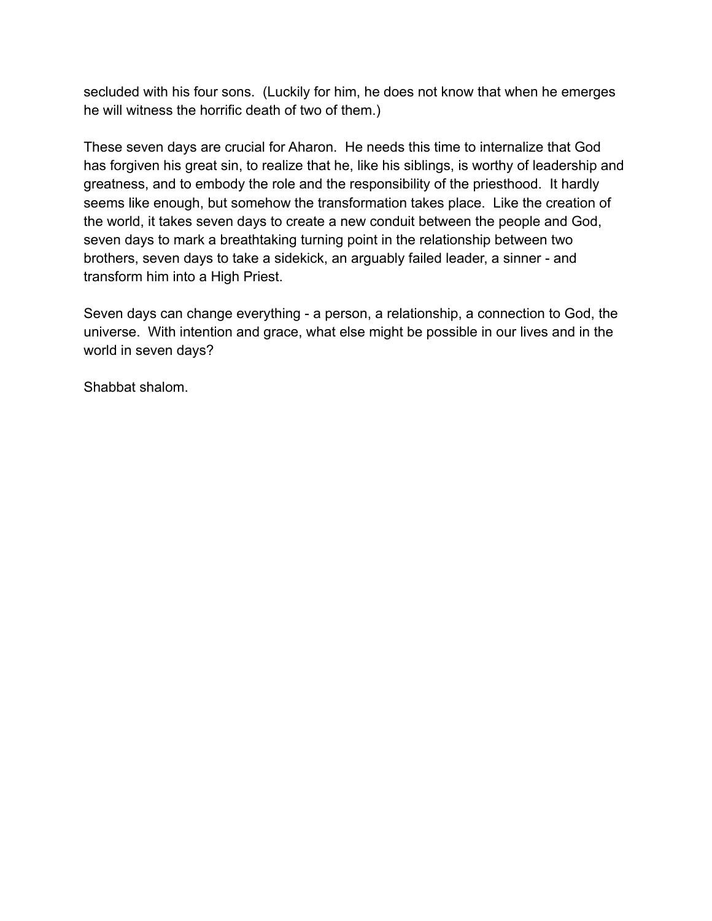secluded with his four sons. (Luckily for him, he does not know that when he emerges he will witness the horrific death of two of them.)

These seven days are crucial for Aharon. He needs this time to internalize that God has forgiven his great sin, to realize that he, like his siblings, is worthy of leadership and greatness, and to embody the role and the responsibility of the priesthood. It hardly seems like enough, but somehow the transformation takes place. Like the creation of the world, it takes seven days to create a new conduit between the people and God, seven days to mark a breathtaking turning point in the relationship between two brothers, seven days to take a sidekick, an arguably failed leader, a sinner - and transform him into a High Priest.

Seven days can change everything - a person, a relationship, a connection to God, the universe. With intention and grace, what else might be possible in our lives and in the world in seven days?

Shabbat shalom.